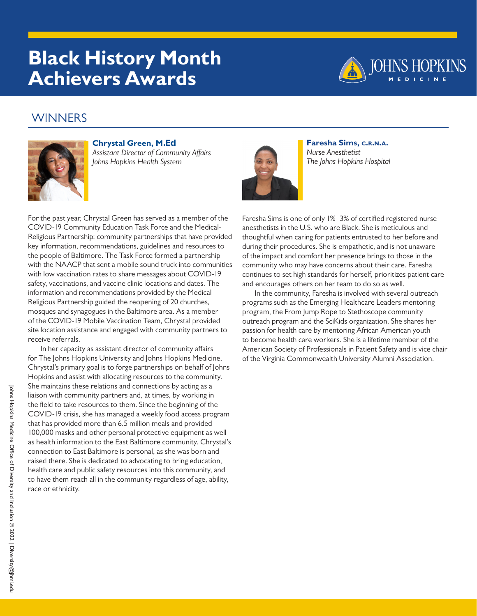## **Black History Month Achievers Awards**



### **WINNERS**



#### **Chrystal Green, M.Ed**

*Assistant Director of Community Affairs Johns Hopkins Health System*



In her capacity as assistant director of community affairs for The Johns Hopkins University and Johns Hopkins Medicine, Chrystal's primary goal is to forge partnerships on behalf of Johns Hopkins and assist with allocating resources to the community. She maintains these relations and connections by acting as a liaison with community partners and, at times, by working in the field to take resources to them. Since the beginning of the COVID-19 crisis, she has managed a weekly food access program that has provided more than 6.5 million meals and provided 100,000 masks and other personal protective equipment as well as health information to the East Baltimore community. Chrystal's connection to East Baltimore is personal, as she was born and raised there. She is dedicated to advocating to bring education, health care and public safety resources into this community, and to have them reach all in the community regardless of age, ability, race or ethnicity.



**Faresha Sims, c.r.n.a.** *Nurse Anesthetist The Johns Hopkins Hospital*

Faresha Sims is one of only 1%–3% of certified registered nurse anesthetists in the U.S. who are Black. She is meticulous and thoughtful when caring for patients entrusted to her before and during their procedures. She is empathetic, and is not unaware of the impact and comfort her presence brings to those in the community who may have concerns about their care. Faresha continues to set high standards for herself, prioritizes patient care and encourages others on her team to do so as well.

In the community, Faresha is involved with several outreach programs such as the Emerging Healthcare Leaders mentoring program, the From Jump Rope to Stethoscope community outreach program and the SciKids organization. She shares her passion for health care by mentoring African American youth to become health care workers. She is a lifetime member of the American Society of Professionals in Patient Safety and is vice chair of the Virginia Commonwealth University Alumni Association.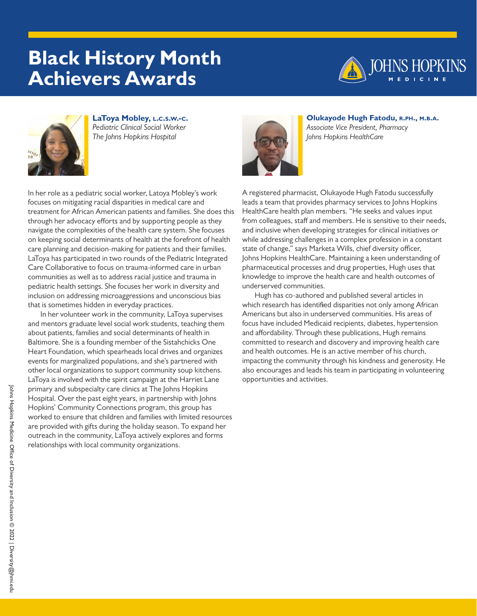# **Black History Month Achievers Awards**





**LaToya Mobley, l.c.s.w.-c.** *Pediatric Clinical Social Worker The Johns Hopkins Hospital*



**Olukayode Hugh Fatodu, r.ph., m.b.a.** *Associate Vice President, Pharmacy Johns Hopkins HealthCare*

In her role as a pediatric social worker, Latoya Mobley's work focuses on mitigating racial disparities in medical care and treatment for African American patients and families. She does this through her advocacy efforts and by supporting people as they navigate the complexities of the health care system. She focuses on keeping social determinants of health at the forefront of health care planning and decision-making for patients and their families. LaToya has participated in two rounds of the Pediatric Integrated Care Collaborative to focus on trauma-informed care in urban communities as well as to address racial justice and trauma in pediatric health settings. She focuses her work in diversity and inclusion on addressing microaggressions and unconscious bias that is sometimes hidden in everyday practices.

In her volunteer work in the community, LaToya supervises and mentors graduate level social work students, teaching them about patients, families and social determinants of health in Baltimore. She is a founding member of the Sistahchicks One Heart Foundation, which spearheads local drives and organizes events for marginalized populations, and she's partnered with other local organizations to support community soup kitchens. LaToya is involved with the spirit campaign at the Harriet Lane primary and subspecialty care clinics at The Johns Hopkins Hospital. Over the past eight years, in partnership with Johns Hopkins' Community Connections program, this group has worked to ensure that children and families with limited resources are provided with gifts during the holiday season. To expand her outreach in the community, LaToya actively explores and forms relationships with local community organizations.

A registered pharmacist, Olukayode Hugh Fatodu successfully leads a team that provides pharmacy services to Johns Hopkins HealthCare health plan members. "He seeks and values input from colleagues, staff and members. He is sensitive to their needs, and inclusive when developing strategies for clinical initiatives or while addressing challenges in a complex profession in a constant state of change," says Marketa Wills, chief diversity officer, Johns Hopkins HealthCare. Maintaining a keen understanding of pharmaceutical processes and drug properties, Hugh uses that knowledge to improve the health care and health outcomes of underserved communities.

Hugh has co-authored and published several articles in which research has identified disparities not only among African Americans but also in underserved communities. His areas of focus have included Medicaid recipients, diabetes, hypertension and affordability. Through these publications, Hugh remains committed to research and discovery and improving health care and health outcomes. He is an active member of his church, impacting the community through his kindness and generosity. He also encourages and leads his team in participating in volunteering opportunities and activities.